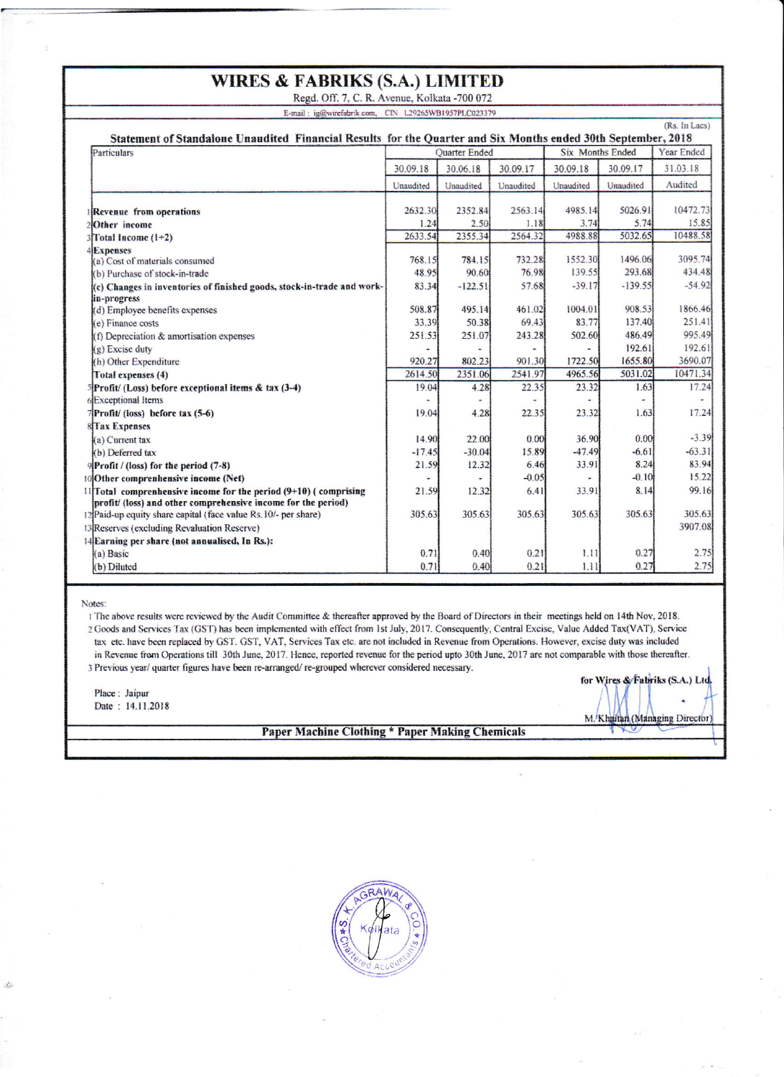## **WIRES & FABRIKS (S.A.) LIMITED**

Regd. Off. 7, C. R. Avenue, Kolkata -700 072 E-mail: ig@wirefabrik.com, CIN: L29265WB1957PLC023379

| (Rs. In Lacs)<br>Statement of Standalone Unaudited Financial Results for the Quarter and Six Months ended 30th September, 2018         |                          |                |           |                         |           |            |  |  |  |
|----------------------------------------------------------------------------------------------------------------------------------------|--------------------------|----------------|-----------|-------------------------|-----------|------------|--|--|--|
| Particulars                                                                                                                            | Quarter Ended            |                |           | <b>Six Months Ended</b> |           | Year Ended |  |  |  |
|                                                                                                                                        | 30.09.18                 | 30.06.18       | 30.09.17  | 30.09.18                | 30.09.17  | 31.03.18   |  |  |  |
|                                                                                                                                        | Unaudited                | Unaudited      | Unaudited | Unaudited               | Unaudited | Audited    |  |  |  |
| Revenue from operations                                                                                                                | 2632.30                  | 2352.84        | 2563.14   | 4985.14                 | 5026.91   | 10472.73   |  |  |  |
| 2 <b>Other</b> income                                                                                                                  | 1.24                     | 2.50           | 1.18      | 3.74                    | 5.74      | 15.85      |  |  |  |
| $3$ Total Income $(1+2)$                                                                                                               | 2633.54                  | 2355.34        | 2564.32   | 4988.88                 | 5032.65   | 10488.58   |  |  |  |
| <b>4</b> Expenses                                                                                                                      |                          |                |           |                         |           |            |  |  |  |
| (a) Cost of materials consumed                                                                                                         | 768.15                   | 784.15         | 732.28    | 1552.30                 | 1496.06   | 3095.74    |  |  |  |
| (b) Purchase of stock-in-trade                                                                                                         | 48.95                    | 90.60          | 76.98     | 139.55                  | 293.68    | 434.48     |  |  |  |
| (c) Changes in inventories of finished goods, stock-in-trade and work-                                                                 | 83.34                    | $-122.51$      | 57.68     | $-39.17$                | $-139.55$ | $-54.92$   |  |  |  |
| lin-progress                                                                                                                           |                          |                |           |                         |           |            |  |  |  |
| (d) Employee benefits expenses                                                                                                         | 508.87                   | 495.14         | 461.02    | 1004.01                 | 908.53    | 1866.46    |  |  |  |
| (e) Finance costs                                                                                                                      | 33.39                    | 50.38          | 69.43     | 83.77                   | 137.40    | 251.41     |  |  |  |
| $(f)$ Depreciation & amortisation expenses                                                                                             | 251.53                   | 251.07         | 243.28    | 502.60                  | 486.49    | 995.49     |  |  |  |
| (g) Excise duty                                                                                                                        |                          |                |           |                         | 192.61    | 192.61     |  |  |  |
| (h) Other Expenditure                                                                                                                  | 920.27                   | 802.23         | 901.30    | 1722.50                 | 1655.80   | 3690.07    |  |  |  |
| Total expenses (4)                                                                                                                     | 2614.50                  | 2351.06        | 2541.97   | 4965.56                 | 5031.02   | 10471.34   |  |  |  |
| $5$ Profit/(Loss) before exceptional items & tax (3-4)                                                                                 | 19.04                    | 4.28           | 22.35     | 23.32                   | 1.63      | 17.24      |  |  |  |
| 6 Exceptional Items                                                                                                                    | $\overline{\phantom{a}}$ | $\blacksquare$ | $\ddot{}$ |                         | ۰         |            |  |  |  |
| $7$ Profit/ (loss) before tax $(5-6)$                                                                                                  | 19.04                    | 4.28           | 22.35     | 23.32                   | 1.63      | 17.24      |  |  |  |
| <b>8Tax Expenses</b>                                                                                                                   |                          |                |           |                         |           |            |  |  |  |
| (a) Current tax                                                                                                                        | 14.90                    | 22.00          | 0.00      | 36.90                   | 0.00      | $-3.39$    |  |  |  |
| (b) Deferred tax                                                                                                                       | $-17.45$                 | $-30.04$       | 15.89     | $-47.49$                | $-6.61$   | $-63.31$   |  |  |  |
| $\mathcal{P}$ Profit / (loss) for the period (7-8)                                                                                     | 21.59                    | 12.32          | 6.46      | 33.91                   | 8.24      | 83.94      |  |  |  |
| 10 Other comprenhensive income (Net)                                                                                                   |                          | ۰              | $-0.05$   |                         | $-0.10$   | 15.22      |  |  |  |
| $11$ [Total comprenhensive income for the period $(9+10)$ (comprising<br>profit/ (loss) and other comprehensive income for the period) | 21.59                    | 12.32          | 6.41      | 33.91                   | 8.14      | 99.16      |  |  |  |
| 12 Paid-up equity share capital (face value Rs. 10/- per share)                                                                        | 305.63                   | 305.63         | 305.63    | 305.63                  | 305.63    | 305.63     |  |  |  |
| 13 Reserves (excluding Revaluation Reserve)                                                                                            |                          |                |           |                         |           | 3907.08    |  |  |  |
| 14 Earning per share (not annualised, In Rs.):                                                                                         |                          |                |           |                         |           |            |  |  |  |
| (a) Basic                                                                                                                              | 0.71                     | 0.40           | 0.21      | 1.11                    | 0.27      | 2.75       |  |  |  |
| (b) Diluted                                                                                                                            | 0.71                     | 0.40           | 0.21      | 1.11                    | 0.27      | 2.75       |  |  |  |

Notes:

à

1 The above results were reviewed by the Audit Committee & thereafter approved by the Board of Directors in their meetings held on 14th Nov, 2018. 2 Goods and Services Tax (GST) has been implemented with effect from 1st July, 2017. Consequently, Central Excise, Value Added Tax(VAT), Service tax etc. have been replaced by GST. GST, VAT, Services Tax etc. are not included in Revenue from Operations. However, excise duty was included in Revenue from Operations till 30th June, 2017. Hence, reported revenue for the period upto 30th June, 2017 are not comparable with those thereafter. 3 Previous year/ quarter figures have been re-arranged/re-grouped wherever considered necessary.

Place: Jaipur Date: 14.11.2018

## Paper Machine Clothing \* Paper Making Chemicals

for Wires & Fabriks (S.A.) Ltd.

M. Khaitan (Managing Director